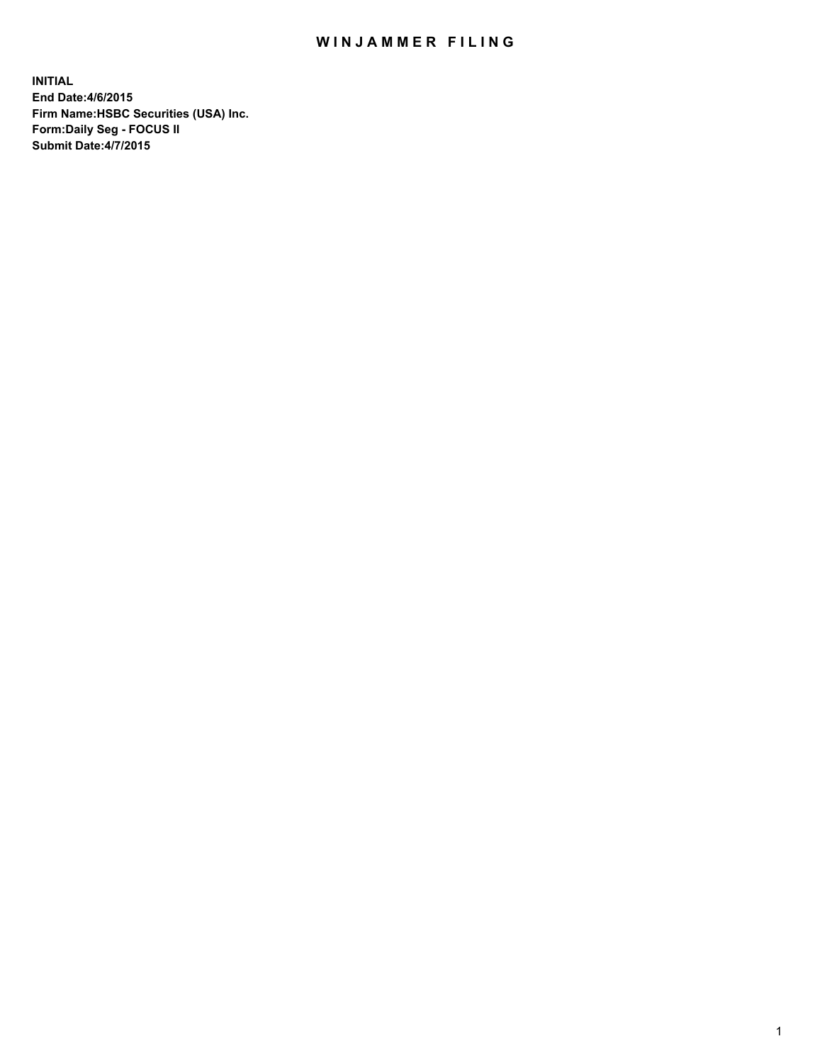## WIN JAMMER FILING

**INITIAL End Date:4/6/2015 Firm Name:HSBC Securities (USA) Inc. Form:Daily Seg - FOCUS II Submit Date:4/7/2015**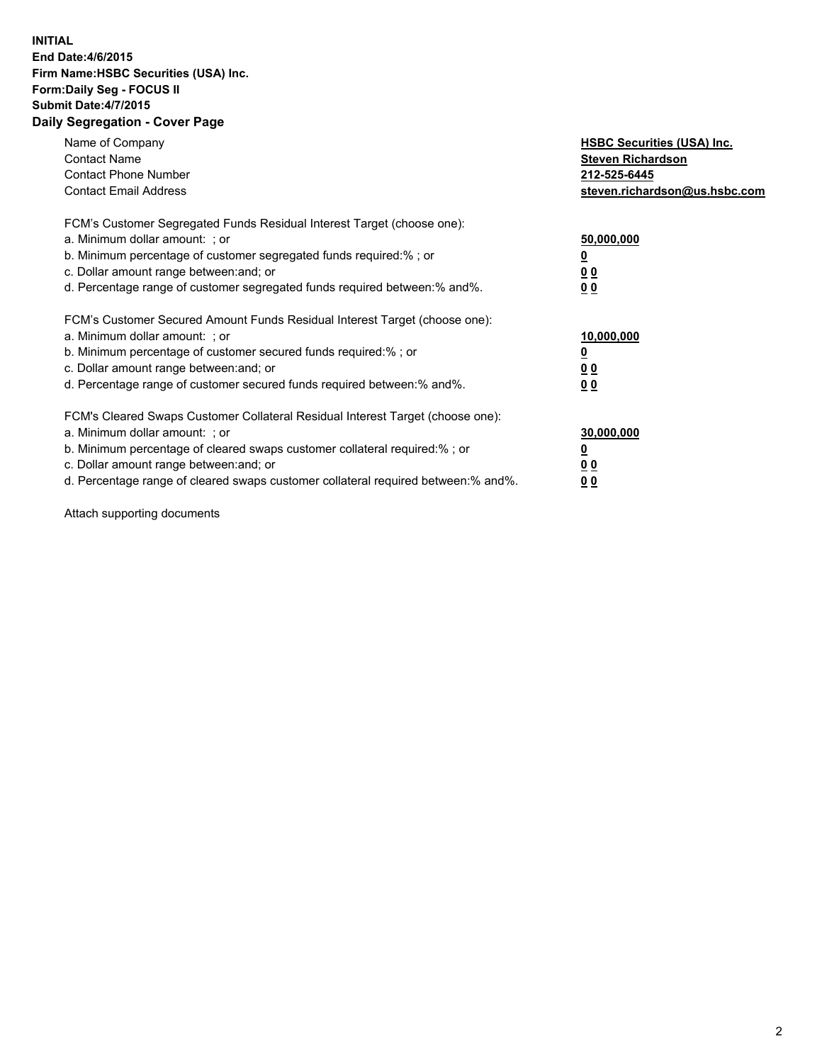## **INITIAL End Date:4/6/2015 Firm Name:HSBC Securities (USA) Inc. Form:Daily Seg - FOCUS II Submit Date:4/7/2015 Daily Segregation - Cover Page**

| Name of Company<br><b>Contact Name</b><br><b>Contact Phone Number</b><br><b>Contact Email Address</b>                                                                                                                                                                                                                          | <b>HSBC Securities (USA) Inc.</b><br><b>Steven Richardson</b><br>212-525-6445<br>steven.richardson@us.hsbc.com |
|--------------------------------------------------------------------------------------------------------------------------------------------------------------------------------------------------------------------------------------------------------------------------------------------------------------------------------|----------------------------------------------------------------------------------------------------------------|
| FCM's Customer Segregated Funds Residual Interest Target (choose one):<br>a. Minimum dollar amount: ; or<br>b. Minimum percentage of customer segregated funds required:%; or<br>c. Dollar amount range between: and; or<br>d. Percentage range of customer segregated funds required between:% and%.                          | 50,000,000<br>00<br>00                                                                                         |
| FCM's Customer Secured Amount Funds Residual Interest Target (choose one):<br>a. Minimum dollar amount: ; or<br>b. Minimum percentage of customer secured funds required:%; or<br>c. Dollar amount range between: and; or<br>d. Percentage range of customer secured funds required between:% and%.                            | 10,000,000<br>0 <sub>0</sub><br>00                                                                             |
| FCM's Cleared Swaps Customer Collateral Residual Interest Target (choose one):<br>a. Minimum dollar amount: ; or<br>b. Minimum percentage of cleared swaps customer collateral required:% ; or<br>c. Dollar amount range between: and; or<br>d. Percentage range of cleared swaps customer collateral required between:% and%. | 30,000,000<br><u>00</u><br><u>00</u>                                                                           |

Attach supporting documents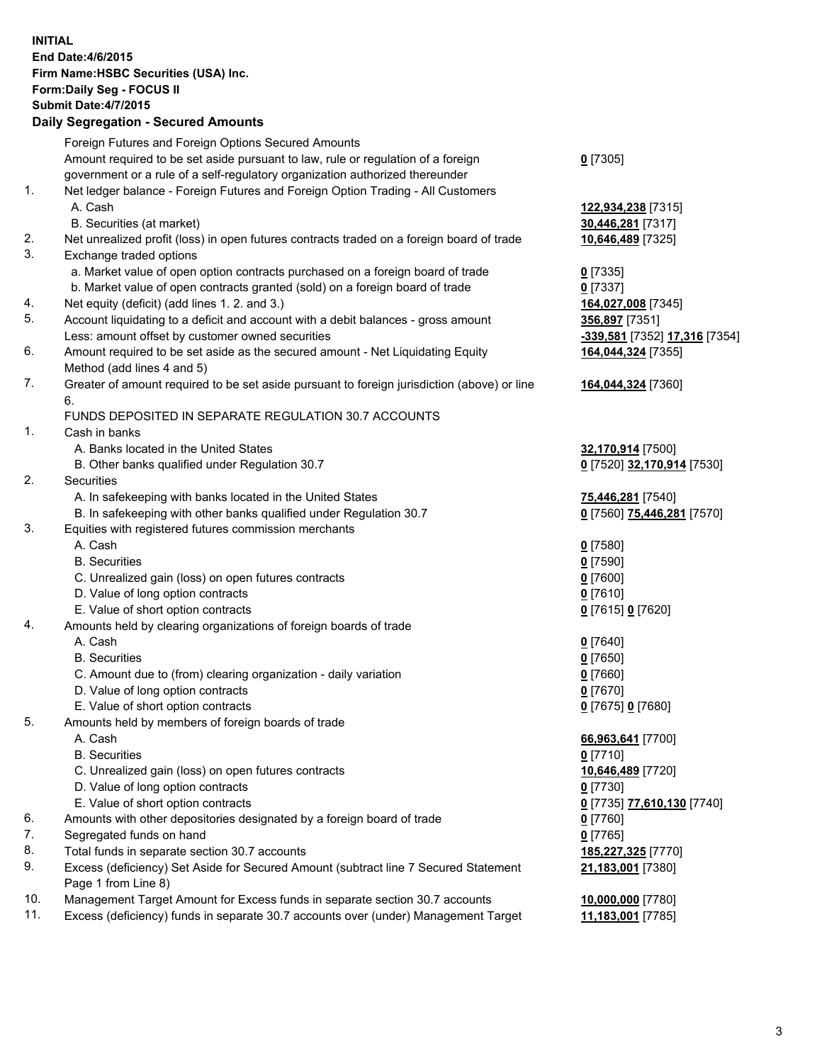**INITIAL End Date:4/6/2015 Firm Name:HSBC Securities (USA) Inc. Form:Daily Seg - FOCUS II Submit Date:4/7/2015 Daily Segregation - Secured Amounts** Foreign Futures and Foreign Options Secured Amounts Amount required to be set aside pursuant to law, rule or regulation of a foreign government or a rule of a self-regulatory organization authorized thereunder **0** [7305] 1. Net ledger balance - Foreign Futures and Foreign Option Trading - All Customers A. Cash **122,934,238** [7315] B. Securities (at market) **30,446,281** [7317] 2. Net unrealized profit (loss) in open futures contracts traded on a foreign board of trade **10,646,489** [7325] 3. Exchange traded options a. Market value of open option contracts purchased on a foreign board of trade **0** [7335] b. Market value of open contracts granted (sold) on a foreign board of trade **0** [7337] 4. Net equity (deficit) (add lines 1. 2. and 3.) **164,027,008** [7345] 5. Account liquidating to a deficit and account with a debit balances - gross amount **356,897** [7351] Less: amount offset by customer owned securities **-339,581** [7352] **17,316** [7354] 6. Amount required to be set aside as the secured amount - Net Liquidating Equity Method (add lines 4 and 5) **164,044,324** [7355] 7. Greater of amount required to be set aside pursuant to foreign jurisdiction (above) or line 6. **164,044,324** [7360] FUNDS DEPOSITED IN SEPARATE REGULATION 30.7 ACCOUNTS 1. Cash in banks A. Banks located in the United States **32,170,914** [7500] B. Other banks qualified under Regulation 30.7 **0** [7520] **32,170,914** [7530] 2. Securities A. In safekeeping with banks located in the United States **75,446,281** [7540] B. In safekeeping with other banks qualified under Regulation 30.7 **0** [7560] **75,446,281** [7570] 3. Equities with registered futures commission merchants A. Cash **0** [7580] B. Securities **0** [7590] C. Unrealized gain (loss) on open futures contracts **0** [7600] D. Value of long option contracts **0** [7610] E. Value of short option contracts **0** [7615] **0** [7620] 4. Amounts held by clearing organizations of foreign boards of trade A. Cash **0** [7640] B. Securities **0** [7650] C. Amount due to (from) clearing organization - daily variation **0** [7660] D. Value of long option contracts **0** [7670] E. Value of short option contracts **0** [7675] **0** [7680] 5. Amounts held by members of foreign boards of trade A. Cash **66,963,641** [7700] B. Securities **0** [7710] C. Unrealized gain (loss) on open futures contracts **10,646,489** [7720] D. Value of long option contracts **0** [7730] E. Value of short option contracts **0** [7735] **77,610,130** [7740] 6. Amounts with other depositories designated by a foreign board of trade **0** [7760] 7. Segregated funds on hand **0** [7765] 8. Total funds in separate section 30.7 accounts **185,227,325** [7770] 9. Excess (deficiency) Set Aside for Secured Amount (subtract line 7 Secured Statement Page 1 from Line 8) **21,183,001** [7380] 10. Management Target Amount for Excess funds in separate section 30.7 accounts **10,000,000** [7780] 11. Excess (deficiency) funds in separate 30.7 accounts over (under) Management Target **11,183,001** [7785]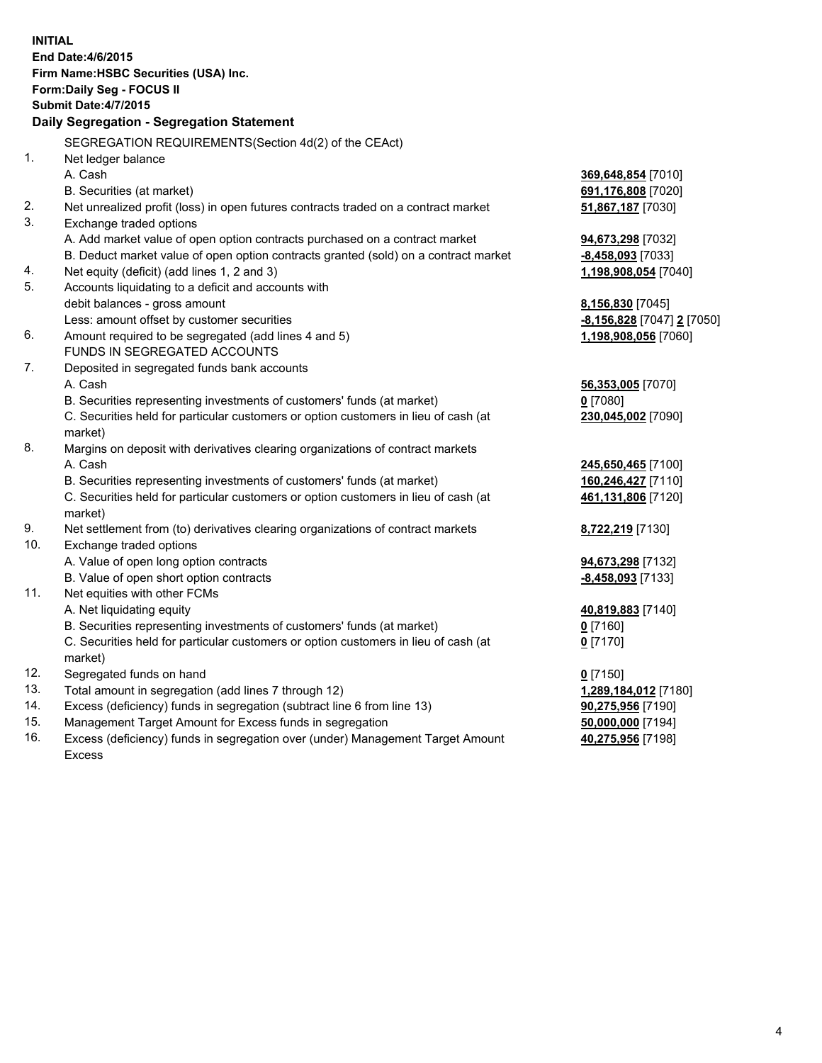| <b>INITIAL</b> | End Date: 4/6/2015<br>Firm Name: HSBC Securities (USA) Inc.<br>Form: Daily Seg - FOCUS II<br><b>Submit Date:4/7/2015</b><br>Daily Segregation - Segregation Statement<br>SEGREGATION REQUIREMENTS(Section 4d(2) of the CEAct) |                            |
|----------------|-------------------------------------------------------------------------------------------------------------------------------------------------------------------------------------------------------------------------------|----------------------------|
| 1.             | Net ledger balance                                                                                                                                                                                                            |                            |
|                | A. Cash                                                                                                                                                                                                                       | 369,648,854 [7010]         |
|                | B. Securities (at market)                                                                                                                                                                                                     | 691,176,808 [7020]         |
| 2.             | Net unrealized profit (loss) in open futures contracts traded on a contract market                                                                                                                                            | 51,867,187 [7030]          |
| 3.             | Exchange traded options                                                                                                                                                                                                       |                            |
|                | A. Add market value of open option contracts purchased on a contract market                                                                                                                                                   | 94,673,298 [7032]          |
|                | B. Deduct market value of open option contracts granted (sold) on a contract market                                                                                                                                           | -8,458,093 [7033]          |
| 4.             | Net equity (deficit) (add lines 1, 2 and 3)                                                                                                                                                                                   | 1,198,908,054 [7040]       |
| 5.             | Accounts liquidating to a deficit and accounts with                                                                                                                                                                           |                            |
|                | debit balances - gross amount                                                                                                                                                                                                 | 8,156,830 [7045]           |
|                | Less: amount offset by customer securities                                                                                                                                                                                    | -8,156,828 [7047] 2 [7050] |
| 6.             | Amount required to be segregated (add lines 4 and 5)                                                                                                                                                                          | 1,198,908,056 [7060]       |
|                | FUNDS IN SEGREGATED ACCOUNTS                                                                                                                                                                                                  |                            |
| 7.             | Deposited in segregated funds bank accounts                                                                                                                                                                                   |                            |
|                | A. Cash                                                                                                                                                                                                                       | 56,353,005 [7070]          |
|                | B. Securities representing investments of customers' funds (at market)                                                                                                                                                        | $0$ [7080]                 |
|                | C. Securities held for particular customers or option customers in lieu of cash (at<br>market)                                                                                                                                | 230,045,002 [7090]         |
| 8.             | Margins on deposit with derivatives clearing organizations of contract markets                                                                                                                                                |                            |
|                | A. Cash                                                                                                                                                                                                                       | 245,650,465 [7100]         |
|                | B. Securities representing investments of customers' funds (at market)                                                                                                                                                        | 160,246,427 [7110]         |
|                | C. Securities held for particular customers or option customers in lieu of cash (at                                                                                                                                           | 461,131,806 [7120]         |
| 9.             | market)<br>Net settlement from (to) derivatives clearing organizations of contract markets                                                                                                                                    |                            |
| 10.            | Exchange traded options                                                                                                                                                                                                       | 8,722,219 [7130]           |
|                | A. Value of open long option contracts                                                                                                                                                                                        | 94,673,298 [7132]          |
|                | B. Value of open short option contracts                                                                                                                                                                                       | -8,458,093 [7133]          |
| 11.            | Net equities with other FCMs                                                                                                                                                                                                  |                            |
|                | A. Net liquidating equity                                                                                                                                                                                                     | 40,819,883 [7140]          |
|                | B. Securities representing investments of customers' funds (at market)                                                                                                                                                        | 0 <sup>[7160]</sup>        |
|                | C. Securities held for particular customers or option customers in lieu of cash (at                                                                                                                                           | $0$ [7170]                 |
|                | market)                                                                                                                                                                                                                       |                            |
| 12.            | Segregated funds on hand                                                                                                                                                                                                      | $0$ [7150]                 |
| 13.            | Total amount in segregation (add lines 7 through 12)                                                                                                                                                                          | 1,289,184,012 [7180]       |
| 14.            | Excess (deficiency) funds in segregation (subtract line 6 from line 13)                                                                                                                                                       | 90,275,956 [7190]          |
| 15.            | Management Target Amount for Excess funds in segregation                                                                                                                                                                      | 50,000,000 [7194]          |
| 16.            | Excess (deficiency) funds in segregation over (under) Management Target Amount                                                                                                                                                | 40,275,956 [7198]          |
|                | Excess                                                                                                                                                                                                                        |                            |